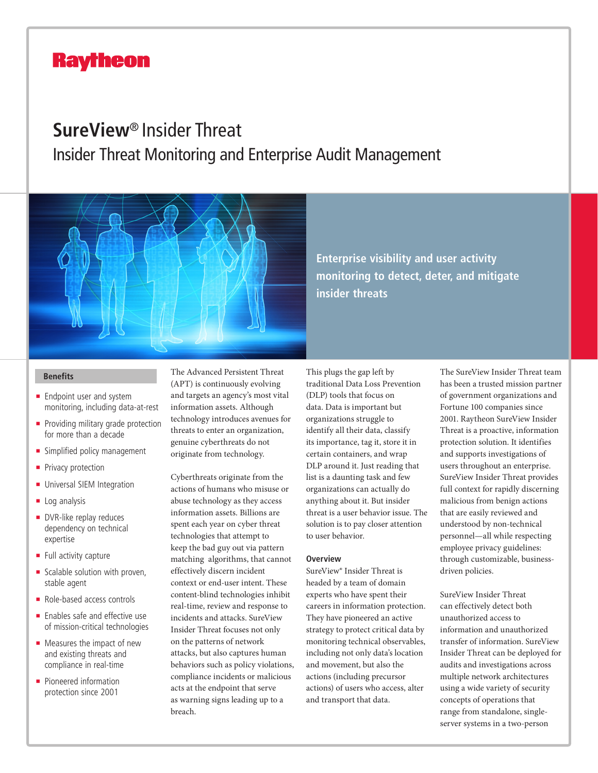# **Raytheon**

# **SureView**® Insider Threat

Insider Threat Monitoring and Enterprise Audit Management



**Enterprise visibility and user activity monitoring to detect, deter, and mitigate insider threats**

- $\blacksquare$  Endpoint user and system monitoring, including data-at-rest
- Providing military grade protection for more than a decade
- **n** Simplified policy management
- **Privacy protection**
- **n** Universal SIEM Integration
- $\blacksquare$  Log analysis
- **DVR-like replay reduces** dependency on technical expertise
- $\blacksquare$  Full activity capture
- Scalable solution with proven, stable agent
- $\blacksquare$  Role-based access controls
- $\blacksquare$  Enables safe and effective use of mission-critical technologies
- $\blacksquare$  Measures the impact of new and existing threats and compliance in real-time
- Pioneered information protection since 2001

**Benefits** The Advanced Persistent Threat (APT) is continuously evolving and targets an agency's most vital information assets. Although technology introduces avenues for threats to enter an organization, genuine cyberthreats do not originate from technology.

> Cyberthreats originate from the actions of humans who misuse or abuse technology as they access information assets. Billions are spent each year on cyber threat technologies that attempt to keep the bad guy out via pattern matching algorithms, that cannot effectively discern incident context or end-user intent. These content-blind technologies inhibit real-time, review and response to incidents and attacks. SureView Insider Threat focuses not only on the patterns of network attacks, but also captures human behaviors such as policy violations, compliance incidents or malicious acts at the endpoint that serve as warning signs leading up to a breach.

This plugs the gap left by traditional Data Loss Prevention (DLP) tools that focus on data. Data is important but organizations struggle to identify all their data, classify its importance, tag it, store it in certain containers, and wrap DLP around it. Just reading that list is a daunting task and few organizations can actually do anything about it. But insider threat is a user behavior issue. The solution is to pay closer attention to user behavior.

### **Overview**

SureView® Insider Threat is headed by a team of domain experts who have spent their careers in information protection. They have pioneered an active strategy to protect critical data by monitoring technical observables, including not only data's location and movement, but also the actions (including precursor actions) of users who access, alter and transport that data.

The SureView Insider Threat team has been a trusted mission partner of government organizations and Fortune 100 companies since 2001. Raytheon SureView Insider Threat is a proactive, information protection solution. It identifies and supports investigations of users throughout an enterprise. SureView Insider Threat provides full context for rapidly discerning malicious from benign actions that are easily reviewed and understood by non-technical personnel—all while respecting employee privacy guidelines: through customizable, businessdriven policies.

SureView Insider Threat can effectively detect both unauthorized access to information and unauthorized transfer of information. SureView Insider Threat can be deployed for audits and investigations across multiple network architectures using a wide variety of security concepts of operations that range from standalone, singleserver systems in a two-person